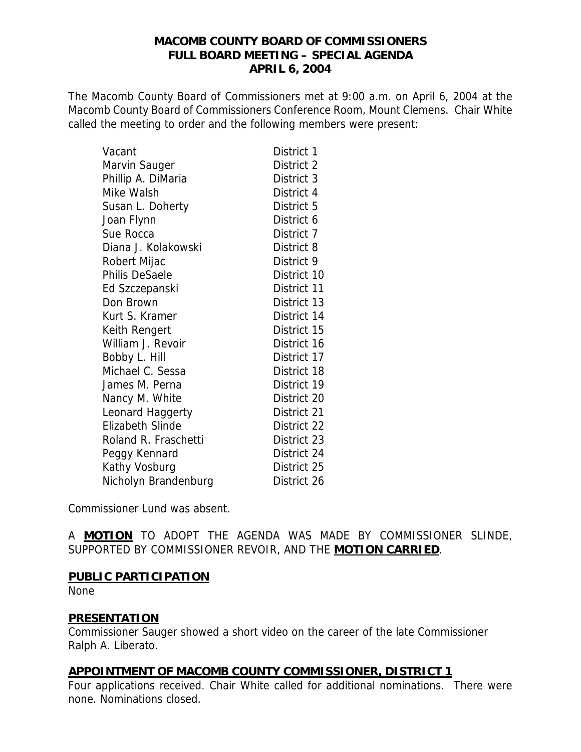### **MACOMB COUNTY BOARD OF COMMISSIONERS FULL BOARD MEETING – SPECIAL AGENDA APRIL 6, 2004**

The Macomb County Board of Commissioners met at 9:00 a.m. on April 6, 2004 at the Macomb County Board of Commissioners Conference Room, Mount Clemens. Chair White called the meeting to order and the following members were present:

| Vacant                  | District 1  |
|-------------------------|-------------|
| Marvin Sauger           | District 2  |
| Phillip A. DiMaria      | District 3  |
| Mike Walsh              | District 4  |
| Susan L. Doherty        | District 5  |
| Joan Flynn              | District 6  |
| Sue Rocca               | District 7  |
| Diana J. Kolakowski     | District 8  |
| Robert Mijac            | District 9  |
| <b>Philis DeSaele</b>   | District 10 |
| Ed Szczepanski          | District 11 |
| Don Brown               | District 13 |
| Kurt S. Kramer          | District 14 |
| Keith Rengert           | District 15 |
| William J. Revoir       | District 16 |
| Bobby L. Hill           | District 17 |
| Michael C. Sessa        | District 18 |
| James M. Perna          | District 19 |
| Nancy M. White          | District 20 |
| Leonard Haggerty        | District 21 |
| <b>Elizabeth Slinde</b> | District 22 |
| Roland R. Fraschetti    | District 23 |
| Peggy Kennard           | District 24 |
| Kathy Vosburg           | District 25 |
| Nicholyn Brandenburg    | District 26 |

Commissioner Lund was absent.

A **MOTION** TO ADOPT THE AGENDA WAS MADE BY COMMISSIONER SLINDE, SUPPORTED BY COMMISSIONER REVOIR, AND THE **MOTION CARRIED**.

#### **PUBLIC PARTICIPATION**

None

#### **PRESENTATION**

Commissioner Sauger showed a short video on the career of the late Commissioner Ralph A. Liberato.

## **APPOINTMENT OF MACOMB COUNTY COMMISSIONER, DISTRICT 1**

Four applications received. Chair White called for additional nominations. There were none. Nominations closed.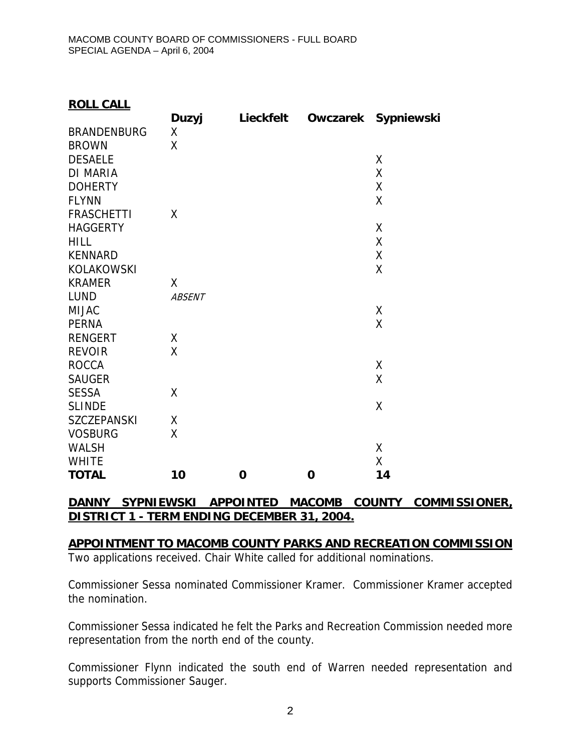| <b>ROLL CALL</b> |  |
|------------------|--|
|                  |  |

|                    | <b>Duzyj</b>  | <b>Lieckfelt</b> | Owczarek | Sypniewski |
|--------------------|---------------|------------------|----------|------------|
| <b>BRANDENBURG</b> | χ             |                  |          |            |
| <b>BROWN</b>       | X             |                  |          |            |
| <b>DESAELE</b>     |               |                  |          | X          |
| <b>DI MARIA</b>    |               |                  |          | X          |
| <b>DOHERTY</b>     |               |                  |          | X          |
| <b>FLYNN</b>       |               |                  |          | Χ          |
| <b>FRASCHETTI</b>  | X             |                  |          |            |
| <b>HAGGERTY</b>    |               |                  |          | X          |
| <b>HILL</b>        |               |                  |          | X          |
| <b>KENNARD</b>     |               |                  |          | X          |
| <b>KOLAKOWSKI</b>  |               |                  |          | X          |
| <b>KRAMER</b>      | X             |                  |          |            |
| <b>LUND</b>        | <b>ABSENT</b> |                  |          |            |
| <b>MIJAC</b>       |               |                  |          | Χ          |
| <b>PERNA</b>       |               |                  |          | X          |
| <b>RENGERT</b>     | Χ             |                  |          |            |
| <b>REVOIR</b>      | X             |                  |          |            |
| <b>ROCCA</b>       |               |                  |          | Χ          |
| <b>SAUGER</b>      |               |                  |          | Χ          |
| <b>SESSA</b>       | Χ             |                  |          |            |
| <b>SLINDE</b>      |               |                  |          | Χ          |
| <b>SZCZEPANSKI</b> | Χ             |                  |          |            |
| <b>VOSBURG</b>     | X             |                  |          |            |
| <b>WALSH</b>       |               |                  |          | Χ          |
| <b>WHITE</b>       |               |                  |          | Χ          |
| <b>TOTAL</b>       | 10            | $\mathbf 0$      | 0        | 14         |

## **DANNY SYPNIEWSKI APPOINTED MACOMB COUNTY COMMISSIONER, DISTRICT 1 - TERM ENDING DECEMBER 31, 2004.**

#### **APPOINTMENT TO MACOMB COUNTY PARKS AND RECREATION COMMISSION**

Two applications received. Chair White called for additional nominations.

Commissioner Sessa nominated Commissioner Kramer. Commissioner Kramer accepted the nomination.

Commissioner Sessa indicated he felt the Parks and Recreation Commission needed more representation from the north end of the county.

Commissioner Flynn indicated the south end of Warren needed representation and supports Commissioner Sauger.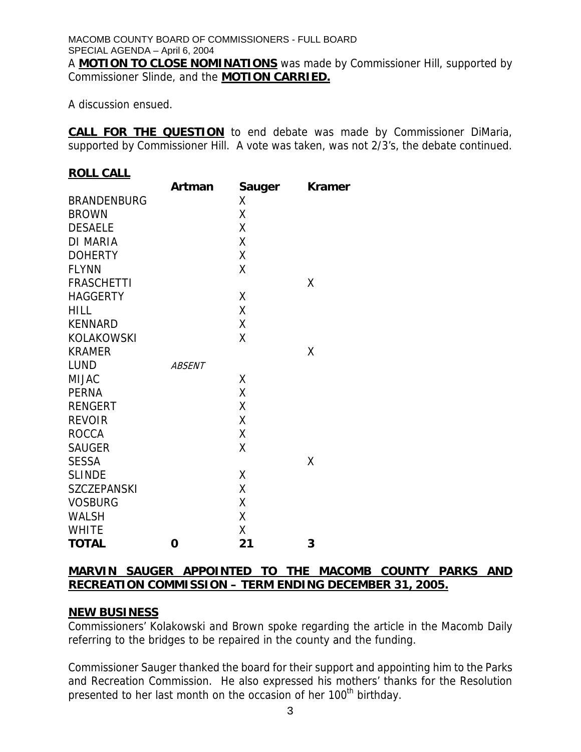# MACOMB COUNTY BOARD OF COMMISSIONERS - FULL BOARD SPECIAL AGENDA – April 6, 2004

A **MOTION TO CLOSE NOMINATIONS** was made by Commissioner Hill, supported by Commissioner Slinde, and the **MOTION CARRIED.**

A discussion ensued.

**CALL FOR THE QUESTION** to end debate was made by Commissioner DiMaria, supported by Commissioner Hill. A vote was taken, was not 2/3's, the debate continued.

#### **ROLL CALL**

|                    | Artman        | <b>Sauger</b> | <b>Kramer</b> |
|--------------------|---------------|---------------|---------------|
| <b>BRANDENBURG</b> |               | Χ             |               |
| <b>BROWN</b>       |               | X             |               |
| <b>DESAELE</b>     |               | Χ             |               |
| <b>DI MARIA</b>    |               | X             |               |
| <b>DOHERTY</b>     |               | X             |               |
| <b>FLYNN</b>       |               | Χ             |               |
| <b>FRASCHETTI</b>  |               |               | X             |
| <b>HAGGERTY</b>    |               | X             |               |
| <b>HILL</b>        |               | X             |               |
| <b>KENNARD</b>     |               | Χ             |               |
| <b>KOLAKOWSKI</b>  |               | X             |               |
| <b>KRAMER</b>      |               |               | X             |
| <b>LUND</b>        | <b>ABSENT</b> |               |               |
| <b>MIJAC</b>       |               | X             |               |
| <b>PERNA</b>       |               | X             |               |
| <b>RENGERT</b>     |               | X             |               |
| <b>REVOIR</b>      |               | X             |               |
| <b>ROCCA</b>       |               | X             |               |
| <b>SAUGER</b>      |               | X             |               |
| <b>SESSA</b>       |               |               | X             |
| <b>SLINDE</b>      |               | Χ             |               |
| <b>SZCZEPANSKI</b> |               | Χ             |               |
| <b>VOSBURG</b>     |               | Χ             |               |
| <b>WALSH</b>       |               | Χ             |               |
| <b>WHITE</b>       |               | Χ             |               |
| <b>TOTAL</b>       | 0             | 21            | 3             |

## **MARVIN SAUGER APPOINTED TO THE MACOMB COUNTY PARKS AND RECREATION COMMISSION – TERM ENDING DECEMBER 31, 2005.**

#### **NEW BUSINESS**

Commissioners' Kolakowski and Brown spoke regarding the article in the Macomb Daily referring to the bridges to be repaired in the county and the funding.

Commissioner Sauger thanked the board for their support and appointing him to the Parks and Recreation Commission. He also expressed his mothers' thanks for the Resolution presented to her last month on the occasion of her 100<sup>th</sup> birthday.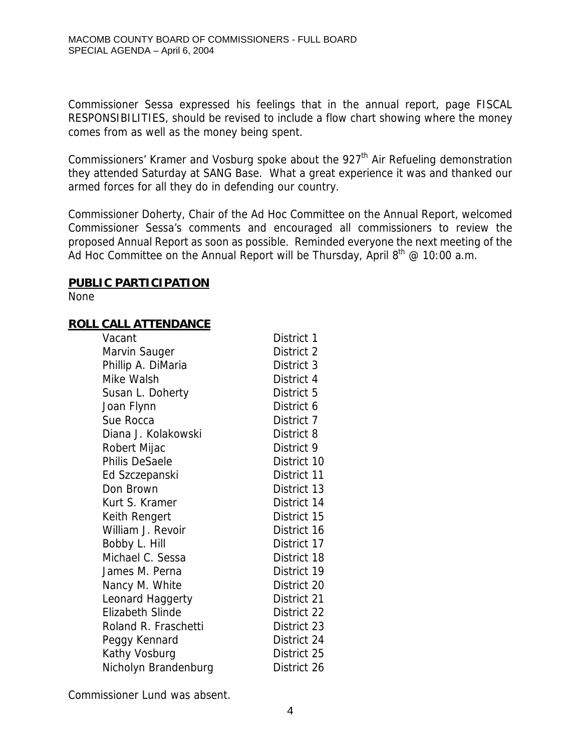Commissioner Sessa expressed his feelings that in the annual report, page FISCAL RESPONSIBILITIES, should be revised to include a flow chart showing where the money comes from as well as the money being spent.

Commissioners' Kramer and Vosburg spoke about the 927<sup>th</sup> Air Refueling demonstration they attended Saturday at SANG Base. What a great experience it was and thanked our armed forces for all they do in defending our country.

Commissioner Doherty, Chair of the Ad Hoc Committee on the Annual Report, welcomed Commissioner Sessa's comments and encouraged all commissioners to review the proposed Annual Report as soon as possible. Reminded everyone the next meeting of the Ad Hoc Committee on the Annual Report will be Thursday, April  $8^{th}$  @ 10:00 a.m.

#### **PUBLIC PARTICIPATION**

None

#### **ROLL CALL ATTENDANCE**

| Vacant                  | District 1  |
|-------------------------|-------------|
| Marvin Sauger           | District 2  |
| Phillip A. DiMaria      | District 3  |
| Mike Walsh              | District 4  |
| Susan L. Doherty        | District 5  |
| Joan Flynn              | District 6  |
| Sue Rocca               | District 7  |
| Diana J. Kolakowski     | District 8  |
| Robert Mijac            | District 9  |
| Philis DeSaele          | District 10 |
| Ed Szczepanski          | District 11 |
| Don Brown               | District 13 |
| Kurt S. Kramer          | District 14 |
| Keith Rengert           | District 15 |
| William J. Revoir       | District 16 |
| Bobby L. Hill           | District 17 |
| Michael C. Sessa        | District 18 |
| James M. Perna          | District 19 |
| Nancy M. White          | District 20 |
| Leonard Haggerty        | District 21 |
| <b>Elizabeth Slinde</b> | District 22 |
| Roland R. Fraschetti    | District 23 |
| Peggy Kennard           | District 24 |
| Kathy Vosburg           | District 25 |
| Nicholyn Brandenburg    | District 26 |

Commissioner Lund was absent.